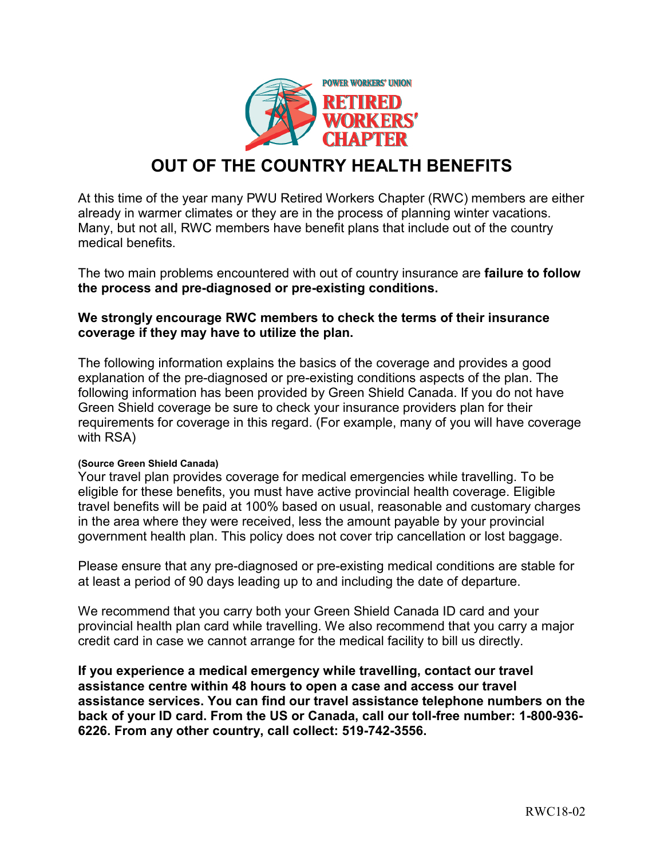

## **OUT OF THE COUNTRY HEALTH BENEFITS**

At this time of the year many PWU Retired Workers Chapter (RWC) members are either already in warmer climates or they are in the process of planning winter vacations. Many, but not all, RWC members have benefit plans that include out of the country medical benefits.

The two main problems encountered with out of country insurance are **failure to follow the process and pre-diagnosed or pre-existing conditions.**

## **We strongly encourage RWC members to check the terms of their insurance coverage if they may have to utilize the plan.**

The following information explains the basics of the coverage and provides a good explanation of the pre-diagnosed or pre-existing conditions aspects of the plan. The following information has been provided by Green Shield Canada. If you do not have Green Shield coverage be sure to check your insurance providers plan for their requirements for coverage in this regard. (For example, many of you will have coverage with RSA)

## **(Source Green Shield Canada)**

Your travel plan provides coverage for medical emergencies while travelling. To be eligible for these benefits, you must have active provincial health coverage. Eligible travel benefits will be paid at 100% based on usual, reasonable and customary charges in the area where they were received, less the amount payable by your provincial government health plan. This policy does not cover trip cancellation or lost baggage.

Please ensure that any pre-diagnosed or pre-existing medical conditions are stable for at least a period of 90 days leading up to and including the date of departure.

We recommend that you carry both your Green Shield Canada ID card and your provincial health plan card while travelling. We also recommend that you carry a major credit card in case we cannot arrange for the medical facility to bill us directly.

**If you experience a medical emergency while travelling, contact our travel assistance centre within 48 hours to open a case and access our travel assistance services. You can find our travel assistance telephone numbers on the back of your ID card. From the US or Canada, call our toll-free number: 1-800-936- 6226. From any other country, call collect: 519-742-3556.**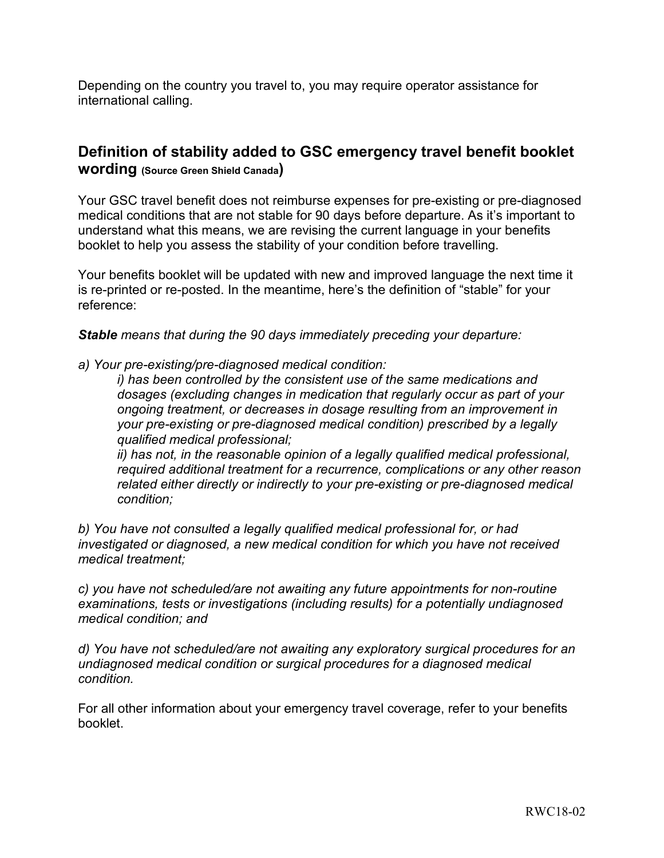Depending on the country you travel to, you may require operator assistance for international calling.

## **Definition of stability added to GSC emergency travel benefit booklet wording (Source Green Shield Canada)**

Your GSC travel benefit does not reimburse expenses for pre-existing or pre-diagnosed medical conditions that are not stable for 90 days before departure. As it's important to understand what this means, we are revising the current language in your benefits booklet to help you assess the stability of your condition before travelling.

Your benefits booklet will be updated with new and improved language the next time it is re-printed or re-posted. In the meantime, here's the definition of "stable" for your reference:

*Stable means that during the 90 days immediately preceding your departure:*

*a) Your pre-existing/pre-diagnosed medical condition:*

*i) has been controlled by the consistent use of the same medications and dosages (excluding changes in medication that regularly occur as part of your ongoing treatment, or decreases in dosage resulting from an improvement in your pre-existing or pre-diagnosed medical condition) prescribed by a legally qualified medical professional;*

*ii) has not, in the reasonable opinion of a legally qualified medical professional, required additional treatment for a recurrence, complications or any other reason related either directly or indirectly to your pre-existing or pre-diagnosed medical condition;*

*b) You have not consulted a legally qualified medical professional for, or had investigated or diagnosed, a new medical condition for which you have not received medical treatment;*

*c) you have not scheduled/are not awaiting any future appointments for non-routine examinations, tests or investigations (including results) for a potentially undiagnosed medical condition; and*

*d) You have not scheduled/are not awaiting any exploratory surgical procedures for an undiagnosed medical condition or surgical procedures for a diagnosed medical condition.*

For all other information about your emergency travel coverage, refer to your benefits booklet.